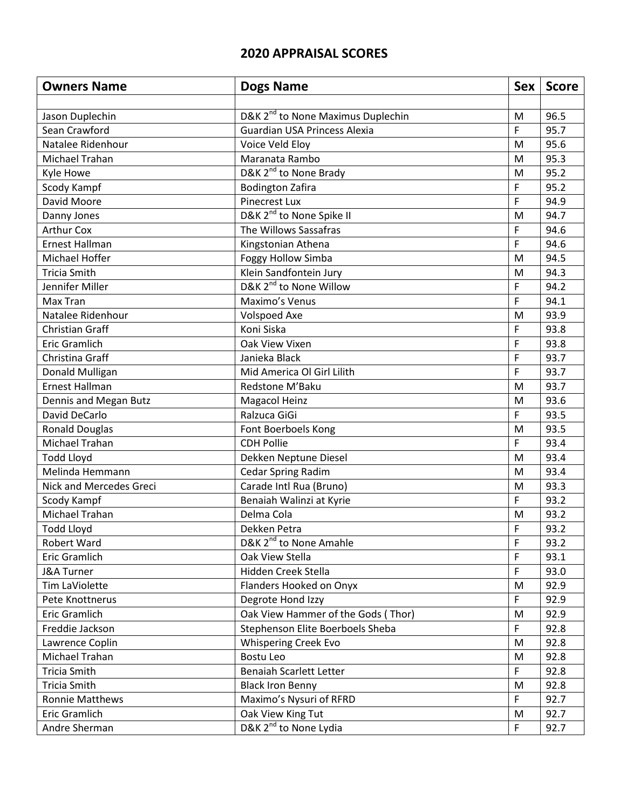## **2020 APPRAISAL SCORES**

| <b>Owners Name</b>      | <b>Dogs Name</b>                              | <b>Sex</b> | <b>Score</b> |
|-------------------------|-----------------------------------------------|------------|--------------|
|                         |                                               |            |              |
| Jason Duplechin         | D&K 2 <sup>nd</sup> to None Maximus Duplechin | M          | 96.5         |
| Sean Crawford           | Guardian USA Princess Alexia                  | F          | 95.7         |
| Natalee Ridenhour       | Voice Veld Eloy                               | M          | 95.6         |
| Michael Trahan          | Maranata Rambo                                | M          | 95.3         |
| Kyle Howe               | D&K 2 <sup>nd</sup> to None Brady             | M          | 95.2         |
| Scody Kampf             | <b>Bodington Zafira</b>                       | F          | 95.2         |
| David Moore             | <b>Pinecrest Lux</b>                          | F          | 94.9         |
| Danny Jones             | D&K 2 <sup>nd</sup> to None Spike II          | M          | 94.7         |
| <b>Arthur Cox</b>       | The Willows Sassafras                         | F          | 94.6         |
| Ernest Hallman          | Kingstonian Athena                            | F          | 94.6         |
| Michael Hoffer          | Foggy Hollow Simba                            | M          | 94.5         |
| <b>Tricia Smith</b>     | Klein Sandfontein Jury                        | M          | 94.3         |
| Jennifer Miller         | D&K 2 <sup>nd</sup> to None Willow            | F          | 94.2         |
| Max Tran                | Maximo's Venus                                | F          | 94.1         |
| Natalee Ridenhour       | <b>Volspoed Axe</b>                           | M          | 93.9         |
| <b>Christian Graff</b>  | Koni Siska                                    | F          | 93.8         |
| Eric Gramlich           | Oak View Vixen                                | F          | 93.8         |
| Christina Graff         | Janieka Black                                 | F          | 93.7         |
| Donald Mulligan         | Mid America Ol Girl Lilith                    | F          | 93.7         |
| <b>Ernest Hallman</b>   | Redstone M'Baku                               | M          | 93.7         |
| Dennis and Megan Butz   | <b>Magacol Heinz</b>                          | M          | 93.6         |
| David DeCarlo           | Ralzuca GiGi                                  | F          | 93.5         |
| <b>Ronald Douglas</b>   | Font Boerboels Kong                           | M          | 93.5         |
| Michael Trahan          | <b>CDH Pollie</b>                             | F          | 93.4         |
| <b>Todd Lloyd</b>       | Dekken Neptune Diesel                         | M          | 93.4         |
| Melinda Hemmann         | <b>Cedar Spring Radim</b>                     | M          | 93.4         |
| Nick and Mercedes Greci | Carade Intl Rua (Bruno)                       | M          | 93.3         |
| Scody Kampf             | Benaiah Walinzi at Kyrie                      | F          | 93.2         |
| Michael Trahan          | Delma Cola                                    | M          | 93.2         |
| <b>Todd Lloyd</b>       | Dekken Petra                                  | F          | 93.2         |
| Robert Ward             | D&K 2 <sup>nd</sup> to None Amahle            | F          | 93.2         |
| Eric Gramlich           | Oak View Stella                               | F          | 93.1         |
| J&A Turner              | Hidden Creek Stella                           | F          | 93.0         |
| Tim LaViolette          | Flanders Hooked on Onyx                       | M          | 92.9         |
| Pete Knottnerus         | Degrote Hond Izzy                             | F          | 92.9         |
| Eric Gramlich           | Oak View Hammer of the Gods (Thor)            | M          | 92.9         |
| Freddie Jackson         | Stephenson Elite Boerboels Sheba              | F          | 92.8         |
| Lawrence Coplin         | <b>Whispering Creek Evo</b>                   | M          | 92.8         |
| Michael Trahan          | Bostu Leo                                     | M          | 92.8         |
| <b>Tricia Smith</b>     | <b>Benaiah Scarlett Letter</b>                | F          | 92.8         |
| Tricia Smith            | <b>Black Iron Benny</b>                       | M          | 92.8         |
| <b>Ronnie Matthews</b>  | Maximo's Nysuri of RFRD                       | F          | 92.7         |
| Eric Gramlich           | Oak View King Tut                             | M          | 92.7         |
| Andre Sherman           | D&K 2 <sup>nd</sup> to None Lydia             | F          | 92.7         |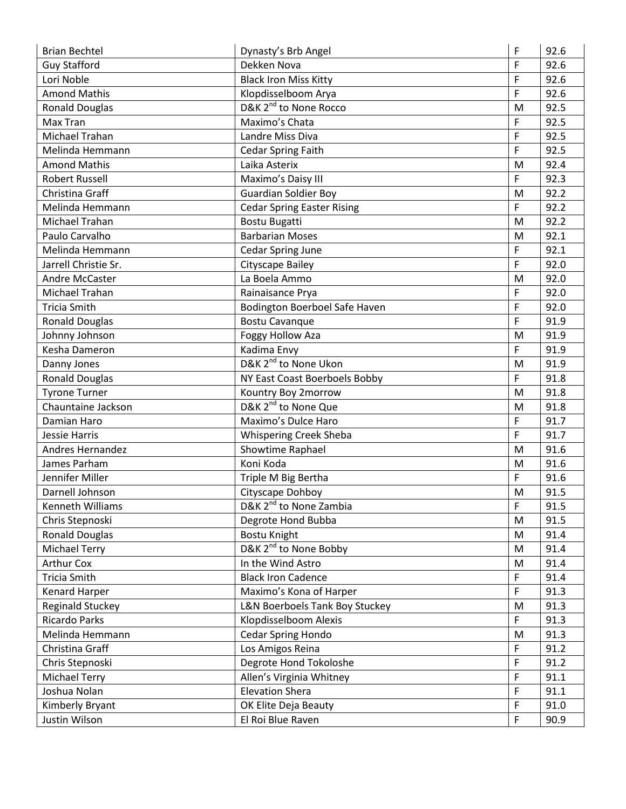| <b>Brian Bechtel</b>    | Dynasty's Brb Angel                | F           | 92.6 |
|-------------------------|------------------------------------|-------------|------|
| <b>Guy Stafford</b>     | Dekken Nova                        | F           | 92.6 |
| Lori Noble              | <b>Black Iron Miss Kitty</b>       | F           | 92.6 |
| <b>Amond Mathis</b>     | Klopdisselboom Arya                | F           | 92.6 |
| <b>Ronald Douglas</b>   | D&K 2 <sup>nd</sup> to None Rocco  | M           | 92.5 |
| Max Tran                | Maximo's Chata                     | F           | 92.5 |
| Michael Trahan          | Landre Miss Diva                   | F           | 92.5 |
| Melinda Hemmann         | <b>Cedar Spring Faith</b>          | F           | 92.5 |
| <b>Amond Mathis</b>     | Laika Asterix                      | M           | 92.4 |
| <b>Robert Russell</b>   | Maximo's Daisy III                 | F           | 92.3 |
| Christina Graff         | <b>Guardian Soldier Boy</b>        | M           | 92.2 |
| Melinda Hemmann         | <b>Cedar Spring Easter Rising</b>  | F           | 92.2 |
| Michael Trahan          | <b>Bostu Bugatti</b>               | M           | 92.2 |
| Paulo Carvalho          | <b>Barbarian Moses</b>             | M           | 92.1 |
| Melinda Hemmann         | Cedar Spring June                  | F           | 92.1 |
| Jarrell Christie Sr.    | Cityscape Bailey                   | F           | 92.0 |
| Andre McCaster          | La Boela Ammo                      | M           | 92.0 |
| Michael Trahan          | Rainaisance Prya                   | $\mathsf F$ | 92.0 |
| <b>Tricia Smith</b>     | Bodington Boerboel Safe Haven      | $\mathsf F$ | 92.0 |
| <b>Ronald Douglas</b>   | <b>Bostu Cavanque</b>              | F           | 91.9 |
| Johnny Johnson          | Foggy Hollow Aza                   | M           | 91.9 |
| Kesha Dameron           | Kadima Envy                        | $\mathsf F$ | 91.9 |
| Danny Jones             | D&K 2 <sup>nd</sup> to None Ukon   | M           | 91.9 |
| <b>Ronald Douglas</b>   | NY East Coast Boerboels Bobby      | F           | 91.8 |
| <b>Tyrone Turner</b>    | Kountry Boy 2morrow                | M           | 91.8 |
| Chauntaine Jackson      | D&K 2 <sup>nd</sup> to None Que    | M           | 91.8 |
| Damian Haro             | Maximo's Dulce Haro                | F           | 91.7 |
| Jessie Harris           | Whispering Creek Sheba             | F           | 91.7 |
| <b>Andres Hernandez</b> | Showtime Raphael                   | M           | 91.6 |
| James Parham            | Koni Koda                          | M           | 91.6 |
| Jennifer Miller         | Triple M Big Bertha                | F           | 91.6 |
| Darnell Johnson         | Cityscape Dohboy                   | M           | 91.5 |
| Kenneth Williams        | D&K 2 <sup>nd</sup> to None Zambia | F           | 91.5 |
| Chris Stepnoski         | Degrote Hond Bubba                 | M           | 91.5 |
| <b>Ronald Douglas</b>   | <b>Bostu Knight</b>                | M           | 91.4 |
| <b>Michael Terry</b>    | D&K 2 <sup>nd</sup> to None Bobby  | ${\sf M}$   | 91.4 |
| <b>Arthur Cox</b>       | In the Wind Astro                  | M           | 91.4 |
| <b>Tricia Smith</b>     | <b>Black Iron Cadence</b>          | F           | 91.4 |
| Kenard Harper           | Maximo's Kona of Harper            | F           | 91.3 |
| <b>Reginald Stuckey</b> | L&N Boerboels Tank Boy Stuckey     | ${\sf M}$   | 91.3 |
| <b>Ricardo Parks</b>    | Klopdisselboom Alexis              | $\mathsf F$ | 91.3 |
| Melinda Hemmann         | <b>Cedar Spring Hondo</b>          | M           | 91.3 |
| Christina Graff         | Los Amigos Reina                   | F           | 91.2 |
| Chris Stepnoski         | Degrote Hond Tokoloshe             | F           | 91.2 |
| <b>Michael Terry</b>    | Allen's Virginia Whitney           | F           | 91.1 |
| Joshua Nolan            | <b>Elevation Shera</b>             | F           | 91.1 |
| Kimberly Bryant         | OK Elite Deja Beauty               | F           | 91.0 |
| Justin Wilson           | El Roi Blue Raven                  | F           | 90.9 |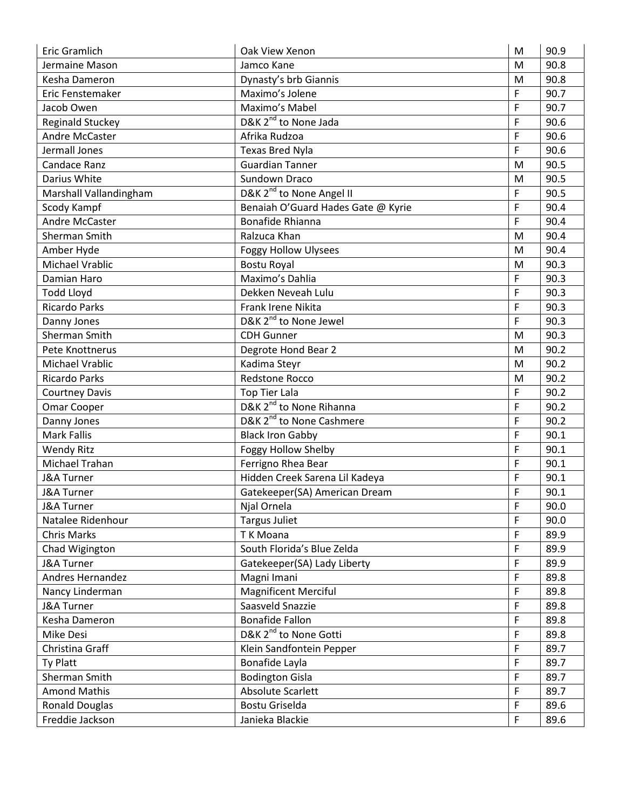| Eric Gramlich           | Oak View Xenon                       | M           | 90.9 |
|-------------------------|--------------------------------------|-------------|------|
| Jermaine Mason          | Jamco Kane                           | M           | 90.8 |
| Kesha Dameron           | Dynasty's brb Giannis                | M           | 90.8 |
| Eric Fenstemaker        | Maximo's Jolene                      | F           | 90.7 |
| Jacob Owen              | Maximo's Mabel                       | F           | 90.7 |
| <b>Reginald Stuckey</b> | D&K 2 <sup>nd</sup> to None Jada     | F           | 90.6 |
| Andre McCaster          | Afrika Rudzoa                        | F           | 90.6 |
| Jermall Jones           | <b>Texas Bred Nyla</b>               | F           | 90.6 |
| <b>Candace Ranz</b>     | <b>Guardian Tanner</b>               | M           | 90.5 |
| Darius White            | Sundown Draco                        | M           | 90.5 |
| Marshall Vallandingham  | D&K 2 <sup>nd</sup> to None Angel II | F           | 90.5 |
| Scody Kampf             | Benaiah O'Guard Hades Gate @ Kyrie   | F           | 90.4 |
| Andre McCaster          | Bonafide Rhianna                     | F           | 90.4 |
| Sherman Smith           | Ralzuca Khan                         | M           | 90.4 |
| Amber Hyde              | <b>Foggy Hollow Ulysees</b>          | M           | 90.4 |
| Michael Vrablic         | <b>Bostu Royal</b>                   | M           | 90.3 |
| Damian Haro             | Maximo's Dahlia                      | F           | 90.3 |
| <b>Todd Lloyd</b>       | Dekken Neveah Lulu                   | $\mathsf F$ | 90.3 |
| <b>Ricardo Parks</b>    | Frank Irene Nikita                   | F           | 90.3 |
| Danny Jones             | D&K 2 <sup>nd</sup> to None Jewel    | F           | 90.3 |
| Sherman Smith           | <b>CDH Gunner</b>                    | M           | 90.3 |
| Pete Knottnerus         | Degrote Hond Bear 2                  | M           | 90.2 |
| Michael Vrablic         | Kadima Steyr                         | M           | 90.2 |
| <b>Ricardo Parks</b>    | <b>Redstone Rocco</b>                | ${\sf M}$   | 90.2 |
| <b>Courtney Davis</b>   | <b>Top Tier Lala</b>                 | F           | 90.2 |
| Omar Cooper             | D&K 2 <sup>nd</sup> to None Rihanna  | F           | 90.2 |
| Danny Jones             | D&K 2 <sup>nd</sup> to None Cashmere | F           | 90.2 |
| <b>Mark Fallis</b>      | <b>Black Iron Gabby</b>              | F           | 90.1 |
| <b>Wendy Ritz</b>       | <b>Foggy Hollow Shelby</b>           | F           | 90.1 |
| Michael Trahan          | Ferrigno Rhea Bear                   | F           | 90.1 |
| <b>J&amp;A Turner</b>   | Hidden Creek Sarena Lil Kadeya       | F           | 90.1 |
| <b>J&amp;A Turner</b>   | Gatekeeper(SA) American Dream        | F           | 90.1 |
| <b>J&amp;A Turner</b>   | Njal Ornela                          | F           | 90.0 |
| Natalee Ridenhour       | <b>Targus Juliet</b>                 | F           | 90.0 |
| <b>Chris Marks</b>      | T K Moana                            | F           | 89.9 |
| Chad Wigington          | South Florida's Blue Zelda           | F           | 89.9 |
| J&A Turner              | Gatekeeper(SA) Lady Liberty          | F           | 89.9 |
| Andres Hernandez        | Magni Imani                          | F           | 89.8 |
| Nancy Linderman         | <b>Magnificent Merciful</b>          | F           | 89.8 |
| J&A Turner              | Saasveld Snazzie                     | F           | 89.8 |
| Kesha Dameron           | <b>Bonafide Fallon</b>               | F           | 89.8 |
| Mike Desi               | D&K 2 <sup>nd</sup> to None Gotti    | F           | 89.8 |
| Christina Graff         | Klein Sandfontein Pepper             | F           | 89.7 |
| Ty Platt                | Bonafide Layla                       | F           | 89.7 |
| Sherman Smith           | <b>Bodington Gisla</b>               | F           | 89.7 |
| <b>Amond Mathis</b>     | Absolute Scarlett                    | F           | 89.7 |
| <b>Ronald Douglas</b>   | Bostu Griselda                       | F           | 89.6 |
| Freddie Jackson         | Janieka Blackie                      | F           | 89.6 |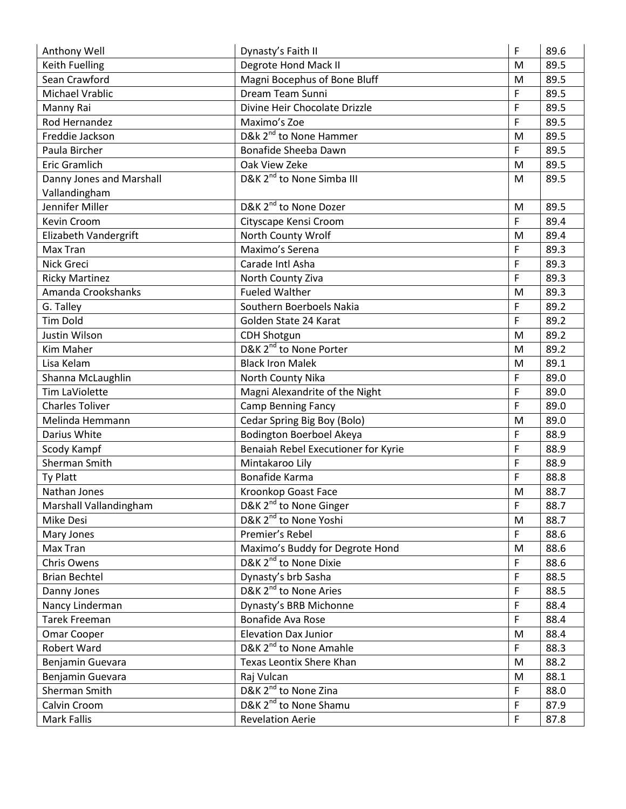| Anthony Well             | Dynasty's Faith II                    | F           | 89.6 |
|--------------------------|---------------------------------------|-------------|------|
| <b>Keith Fuelling</b>    | Degrote Hond Mack II                  | M           | 89.5 |
| Sean Crawford            | Magni Bocephus of Bone Bluff          | M           | 89.5 |
| Michael Vrablic          | Dream Team Sunni                      | F           | 89.5 |
| Manny Rai                | Divine Heir Chocolate Drizzle         | F           | 89.5 |
| Rod Hernandez            | Maximo's Zoe                          | F           | 89.5 |
| Freddie Jackson          | D&k 2 <sup>nd</sup> to None Hammer    | M           | 89.5 |
| Paula Bircher            | Bonafide Sheeba Dawn                  | F           | 89.5 |
| <b>Eric Gramlich</b>     | Oak View Zeke                         | M           | 89.5 |
| Danny Jones and Marshall | D&K 2 <sup>nd</sup> to None Simba III | M           | 89.5 |
| Vallandingham            |                                       |             |      |
| Jennifer Miller          | D&K 2 <sup>nd</sup> to None Dozer     | M           | 89.5 |
| Kevin Croom              | Cityscape Kensi Croom                 | F           | 89.4 |
| Elizabeth Vandergrift    | North County Wrolf                    | M           | 89.4 |
| Max Tran                 | Maximo's Serena                       | F           | 89.3 |
| Nick Greci               | Carade Intl Asha                      | F           | 89.3 |
| <b>Ricky Martinez</b>    | North County Ziva                     | F           | 89.3 |
| Amanda Crookshanks       | <b>Fueled Walther</b>                 | M           | 89.3 |
| G. Talley                | Southern Boerboels Nakia              | F           | 89.2 |
| <b>Tim Dold</b>          | Golden State 24 Karat                 | F           | 89.2 |
| Justin Wilson            | <b>CDH Shotgun</b>                    | M           | 89.2 |
| Kim Maher                | D&K 2 <sup>nd</sup> to None Porter    | M           | 89.2 |
| Lisa Kelam               | <b>Black Iron Malek</b>               | M           | 89.1 |
| Shanna McLaughlin        | North County Nika                     | F           | 89.0 |
| Tim LaViolette           | Magni Alexandrite of the Night        | F           | 89.0 |
| <b>Charles Toliver</b>   | <b>Camp Benning Fancy</b>             | F           | 89.0 |
| Melinda Hemmann          | Cedar Spring Big Boy (Bolo)           | M           | 89.0 |
| Darius White             | Bodington Boerboel Akeya              | F           | 88.9 |
| Scody Kampf              | Benaiah Rebel Executioner for Kyrie   | F           | 88.9 |
| Sherman Smith            | Mintakaroo Lily                       | F           | 88.9 |
| Ty Platt                 | Bonafide Karma                        | F           | 88.8 |
| Nathan Jones             | Kroonkop Goast Face                   | M           | 88.7 |
| Marshall Vallandingham   | D&K 2 <sup>nd</sup> to None Ginger    | F           | 88.7 |
| Mike Desi                | D&K 2 <sup>nd</sup> to None Yoshi     | M           | 88.7 |
| Mary Jones               | Premier's Rebel                       | $\mathsf F$ | 88.6 |
| Max Tran                 | Maximo's Buddy for Degrote Hond       | M           | 88.6 |
| Chris Owens              | D&K 2 <sup>nd</sup> to None Dixie     | F           | 88.6 |
| <b>Brian Bechtel</b>     | Dynasty's brb Sasha                   | F           | 88.5 |
| Danny Jones              | D&K 2 <sup>nd</sup> to None Aries     | F           | 88.5 |
| Nancy Linderman          | Dynasty's BRB Michonne                | F           | 88.4 |
| <b>Tarek Freeman</b>     | Bonafide Ava Rose                     | F           | 88.4 |
| Omar Cooper              | <b>Elevation Dax Junior</b>           | M           | 88.4 |
| Robert Ward              | D&K 2 <sup>nd</sup> to None Amahle    | F           | 88.3 |
| Benjamin Guevara         | Texas Leontix Shere Khan              | ${\sf M}$   | 88.2 |
| Benjamin Guevara         | Raj Vulcan                            | M           | 88.1 |
| Sherman Smith            | D&K 2 <sup>nd</sup> to None Zina      | F           | 88.0 |
| Calvin Croom             | D&K 2 <sup>nd</sup> to None Shamu     | F           | 87.9 |
| Mark Fallis              | <b>Revelation Aerie</b>               | F           | 87.8 |